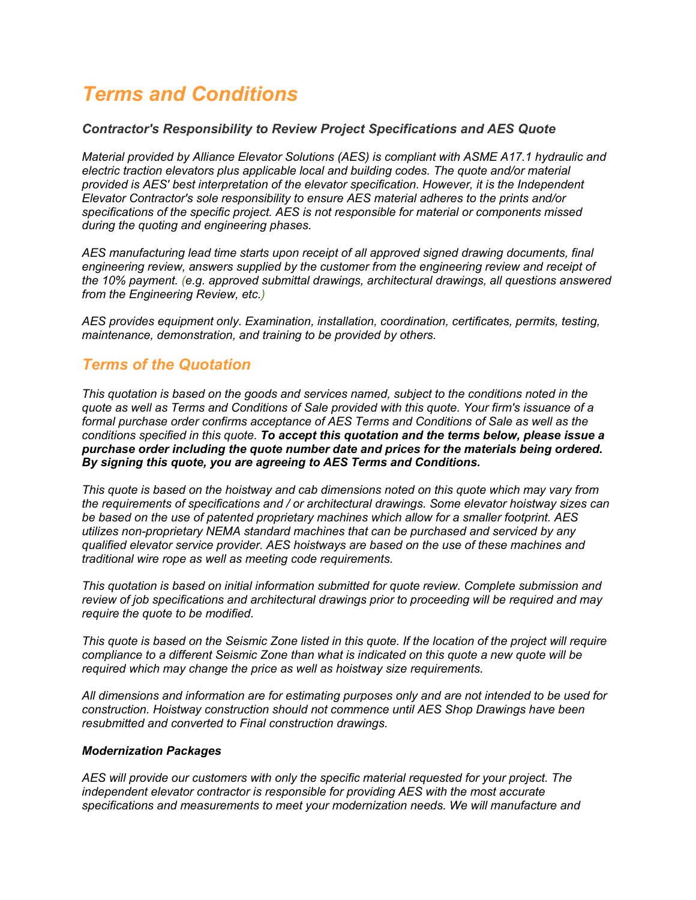# *Terms and Conditions*

#### *Contractor's Responsibility to Review Project Specifications and AES Quote*

*Material provided by Alliance Elevator Solutions (AES) is compliant with ASME A17.1 hydraulic and electric traction elevators plus applicable local and building codes. The quote and/or material provided is AES' best interpretation of the elevator specification. However, it is the Independent Elevator Contractor's sole responsibility to ensure AES material adheres to the prints and/or specifications of the specific project. AES is not responsible for material or components missed during the quoting and engineering phases.*

*AES manufacturing lead time starts upon receipt of all approved signed drawing documents, final engineering review, answers supplied by the customer from the engineering review and receipt of the 10% payment. (e.g. approved submittal drawings, architectural drawings, all questions answered from the Engineering Review, etc.)*

*AES provides equipment only. Examination, installation, coordination, certificates, permits, testing, maintenance, demonstration, and training to be provided by others.*

# *Terms of the Quotation*

*This quotation is based on the goods and services named, subject to the conditions noted in the quote as well as Terms and Conditions of Sale provided with this quote. Your firm's issuance of a formal purchase order confirms acceptance of AES Terms and Conditions of Sale as well as the conditions specified in this quote. To accept this quotation and the terms below, please issue a purchase order including the quote number date and prices for the materials being ordered. By signing this quote, you are agreeing to AES Terms and Conditions.*

*This quote is based on the hoistway and cab dimensions noted on this quote which may vary from the requirements of specifications and / or architectural drawings. Some elevator hoistway sizes can be based on the use of patented proprietary machines which allow for a smaller footprint. AES utilizes non-proprietary NEMA standard machines that can be purchased and serviced by any qualified elevator service provider. AES hoistways are based on the use of these machines and traditional wire rope as well as meeting code requirements.*

*This quotation is based on initial information submitted for quote review. Complete submission and review of job specifications and architectural drawings prior to proceeding will be required and may require the quote to be modified.*

*This quote is based on the Seismic Zone listed in this quote. If the location of the project will require compliance to a different Seismic Zone than what is indicated on this quote a new quote will be required which may change the price as well as hoistway size requirements.*

*All dimensions and information are for estimating purposes only and are not intended to be used for construction. Hoistway construction should not commence until AES Shop Drawings have been resubmitted and converted to Final construction drawings.*

#### *Modernization Packages*

*AES will provide our customers with only the specific material requested for your project. The independent elevator contractor is responsible for providing AES with the most accurate specifications and measurements to meet your modernization needs. We will manufacture and*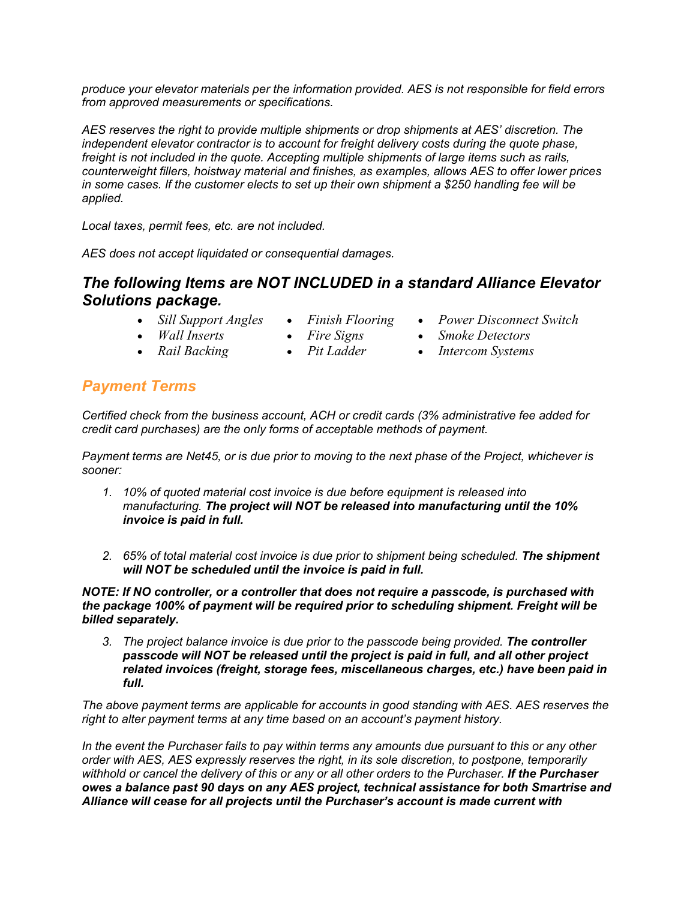*produce your elevator materials per the information provided. AES is not responsible for field errors from approved measurements or specifications.*

*AES reserves the right to provide multiple shipments or drop shipments at AES' discretion. The independent elevator contractor is to account for freight delivery costs during the quote phase, freight is not included in the quote. Accepting multiple shipments of large items such as rails, counterweight fillers, hoistway material and finishes, as examples, allows AES to offer lower prices in some cases. If the customer elects to set up their own shipment a \$250 handling fee will be applied.* 

*Local taxes, permit fees, etc. are not included.*

*AES does not accept liquidated or consequential damages.*

# *The following Items are NOT INCLUDED in a standard Alliance Elevator Solutions package.*

- *Sill Support Angles*
	- *Finish Flooring*
	- *Fire Signs*
- *Wall Inserts* • *Rail Backing*
- *Pit Ladder*
- *Power Disconnect Switch*
- *Smoke Detectors*
- *Intercom Systems*

# *Payment Terms*

*Certified check from the business account, ACH or credit cards (3% administrative fee added for credit card purchases) are the only forms of acceptable methods of payment.*

*Payment terms are Net45, or is due prior to moving to the next phase of the Project, whichever is sooner:*

- *1. 10% of quoted material cost invoice is due before equipment is released into manufacturing. The project will NOT be released into manufacturing until the 10% invoice is paid in full.*
- *2. 65% of total material cost invoice is due prior to shipment being scheduled. The shipment will NOT be scheduled until the invoice is paid in full.*

*NOTE: If NO controller, or a controller that does not require a passcode, is purchased with the package 100% of payment will be required prior to scheduling shipment. Freight will be billed separately.*

*3. The project balance invoice is due prior to the passcode being provided. The controller passcode will NOT be released until the project is paid in full, and all other project related invoices (freight, storage fees, miscellaneous charges, etc.) have been paid in full.*

*The above payment terms are applicable for accounts in good standing with AES. AES reserves the right to alter payment terms at any time based on an account's payment history.*

*In the event the Purchaser fails to pay within terms any amounts due pursuant to this or any other order with AES, AES expressly reserves the right, in its sole discretion, to postpone, temporarily withhold or cancel the delivery of this or any or all other orders to the Purchaser. If the Purchaser owes a balance past 90 days on any AES project, technical assistance for both Smartrise and Alliance will cease for all projects until the Purchaser's account is made current with*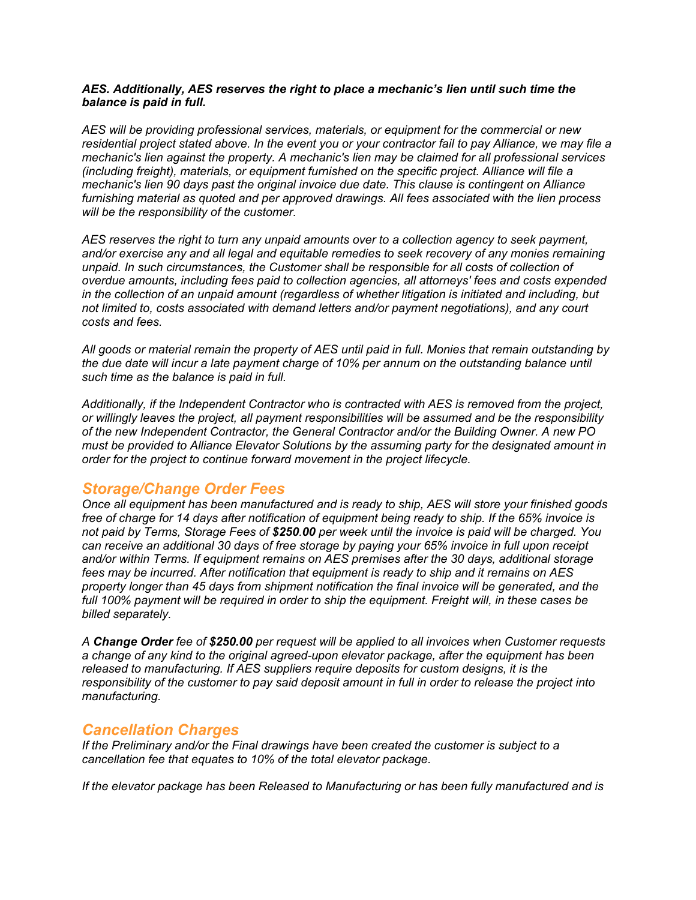#### *AES. Additionally, AES reserves the right to place a mechanic's lien until such time the balance is paid in full.*

*AES will be providing professional services, materials, or equipment for the commercial or new residential project stated above. In the event you or your contractor fail to pay Alliance, we may file a mechanic's lien against the property. A mechanic's lien may be claimed for all professional services (including freight), materials, or equipment furnished on the specific project. Alliance will file a mechanic's lien 90 days past the original invoice due date. This clause is contingent on Alliance furnishing material as quoted and per approved drawings. All fees associated with the lien process will be the responsibility of the customer.* 

*AES reserves the right to turn any unpaid amounts over to a collection agency to seek payment, and/or exercise any and all legal and equitable remedies to seek recovery of any monies remaining unpaid. In such circumstances, the Customer shall be responsible for all costs of collection of overdue amounts, including fees paid to collection agencies, all attorneys' fees and costs expended in the collection of an unpaid amount (regardless of whether litigation is initiated and including, but not limited to, costs associated with demand letters and/or payment negotiations), and any court costs and fees.* 

*All goods or material remain the property of AES until paid in full. Monies that remain outstanding by the due date will incur a late payment charge of 10% per annum on the outstanding balance until such time as the balance is paid in full.*

*Additionally, if the Independent Contractor who is contracted with AES is removed from the project, or willingly leaves the project, all payment responsibilities will be assumed and be the responsibility of the new Independent Contractor, the General Contractor and/or the Building Owner. A new PO must be provided to Alliance Elevator Solutions by the assuming party for the designated amount in order for the project to continue forward movement in the project lifecycle.*

### *Storage/Change Order Fees*

*Once all equipment has been manufactured and is ready to ship, AES will store your finished goods free of charge for 14 days after notification of equipment being ready to ship. If the 65% invoice is not paid by Terms, Storage Fees of \$250.00 per week until the invoice is paid will be charged. You can receive an additional 30 days of free storage by paying your 65% invoice in full upon receipt and/or within Terms. If equipment remains on AES premises after the 30 days, additional storage fees may be incurred. After notification that equipment is ready to ship and it remains on AES property longer than 45 days from shipment notification the final invoice will be generated, and the full 100% payment will be required in order to ship the equipment. Freight will, in these cases be billed separately.* 

*A Change Order fee of \$250.00 per request will be applied to all invoices when Customer requests a change of any kind to the original agreed-upon elevator package, after the equipment has been released to manufacturing. If AES suppliers require deposits for custom designs, it is the responsibility of the customer to pay said deposit amount in full in order to release the project into manufacturing.*

### *Cancellation Charges*

*If the Preliminary and/or the Final drawings have been created the customer is subject to a cancellation fee that equates to 10% of the total elevator package.*

*If the elevator package has been Released to Manufacturing or has been fully manufactured and is*